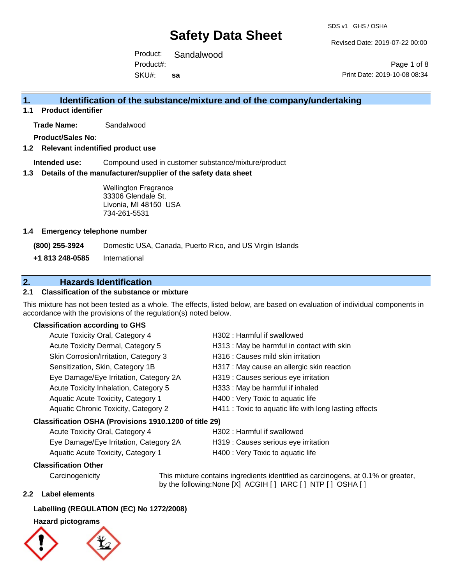Revised Date: 2019-07-22 00:00

Product: Sandalwood SKU#: Product#: **sa**

Page 1 of 8 Print Date: 2019-10-08 08:34

## **1. Identification of the substance/mixture and of the company/undertaking**

**1.1 Product identifier**

**Trade Name:** Sandalwood

**Product/Sales No:**

#### **1.2 Relevant indentified product use**

**Intended use:** Compound used in customer substance/mixture/product

#### **1.3 Details of the manufacturer/supplier of the safety data sheet**

Wellington Fragrance 33306 Glendale St. Livonia, MI 48150 USA 734-261-5531

#### **1.4 Emergency telephone number**

**(800) 255-3924** Domestic USA, Canada, Puerto Rico, and US Virgin Islands

**+1 813 248-0585** International

## **2. Hazards Identification**

### **2.1 Classification of the substance or mixture**

This mixture has not been tested as a whole. The effects, listed below, are based on evaluation of individual components in accordance with the provisions of the regulation(s) noted below.

#### **Classification according to GHS**

|                                                        | Acute Toxicity Oral, Category 4        | H302: Harmful if swallowed                             |  |
|--------------------------------------------------------|----------------------------------------|--------------------------------------------------------|--|
|                                                        | Acute Toxicity Dermal, Category 5      | H313 : May be harmful in contact with skin             |  |
|                                                        | Skin Corrosion/Irritation, Category 3  | H316 : Causes mild skin irritation                     |  |
|                                                        | Sensitization, Skin, Category 1B       | H317 : May cause an allergic skin reaction             |  |
|                                                        | Eye Damage/Eye Irritation, Category 2A | H319 : Causes serious eye irritation                   |  |
|                                                        | Acute Toxicity Inhalation, Category 5  | H333: May be harmful if inhaled                        |  |
|                                                        | Aquatic Acute Toxicity, Category 1     | H400 : Very Toxic to aquatic life                      |  |
|                                                        | Aquatic Chronic Toxicity, Category 2   | H411 : Toxic to aquatic life with long lasting effects |  |
| Classification OSHA (Provisions 1910.1200 of title 29) |                                        |                                                        |  |
|                                                        | Acute Toxicity Oral, Category 4        | H302: Harmful if swallowed                             |  |

| $1.00010 + 0.0001, 0.0001, 0.0000$     |                                      |
|----------------------------------------|--------------------------------------|
| Eye Damage/Eye Irritation, Category 2A | H319 : Causes serious eye irritation |
| Aquatic Acute Toxicity, Category 1     | H400 : Very Toxic to aquatic life    |

### **Classification Other**

Carcinogenicity This mixture contains ingredients identified as carcinogens, at 0.1% or greater, by the following:None [X] ACGIH [] IARC [] NTP [] OSHA []

#### **2.2 Label elements**

### **Labelling (REGULATION (EC) No 1272/2008)**

#### **Hazard pictograms**



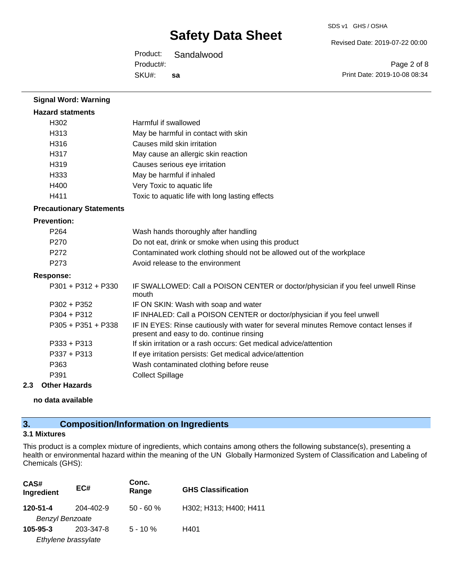Revised Date: 2019-07-22 00:00

Product: Sandalwood SKU#: Product#: **sa**

Page 2 of 8 Print Date: 2019-10-08 08:34

| <b>Signal Word: Warning</b>     |                                                                                                                                  |  |  |
|---------------------------------|----------------------------------------------------------------------------------------------------------------------------------|--|--|
| <b>Hazard statments</b>         |                                                                                                                                  |  |  |
| H <sub>302</sub>                | Harmful if swallowed                                                                                                             |  |  |
| H313                            | May be harmful in contact with skin                                                                                              |  |  |
| H316                            | Causes mild skin irritation                                                                                                      |  |  |
| H317                            | May cause an allergic skin reaction                                                                                              |  |  |
| H319                            | Causes serious eye irritation                                                                                                    |  |  |
| H333                            | May be harmful if inhaled                                                                                                        |  |  |
| H400                            | Very Toxic to aquatic life                                                                                                       |  |  |
| H411                            | Toxic to aquatic life with long lasting effects                                                                                  |  |  |
| <b>Precautionary Statements</b> |                                                                                                                                  |  |  |
| <b>Prevention:</b>              |                                                                                                                                  |  |  |
| P <sub>264</sub>                | Wash hands thoroughly after handling                                                                                             |  |  |
| P <sub>270</sub>                | Do not eat, drink or smoke when using this product                                                                               |  |  |
| P272                            | Contaminated work clothing should not be allowed out of the workplace                                                            |  |  |
| P273                            | Avoid release to the environment                                                                                                 |  |  |
| <b>Response:</b>                |                                                                                                                                  |  |  |
| P301 + P312 + P330              | IF SWALLOWED: Call a POISON CENTER or doctor/physician if you feel unwell Rinse<br>mouth                                         |  |  |
| $P302 + P352$                   | IF ON SKIN: Wash with soap and water                                                                                             |  |  |
| $P304 + P312$                   | IF INHALED: Call a POISON CENTER or doctor/physician if you feel unwell                                                          |  |  |
| $P305 + P351 + P338$            | IF IN EYES: Rinse cautiously with water for several minutes Remove contact lenses if<br>present and easy to do. continue rinsing |  |  |
| $P333 + P313$                   | If skin irritation or a rash occurs: Get medical advice/attention                                                                |  |  |
| P337 + P313                     | If eye irritation persists: Get medical advice/attention                                                                         |  |  |
| P363                            | Wash contaminated clothing before reuse                                                                                          |  |  |
| P391                            | <b>Collect Spillage</b>                                                                                                          |  |  |
|                                 |                                                                                                                                  |  |  |

## **2.3 Other Hazards**

**no data available**

## **3. Composition/Information on Ingredients**

#### **3.1 Mixtures**

This product is a complex mixture of ingredients, which contains among others the following substance(s), presenting a health or environmental hazard within the meaning of the UN Globally Harmonized System of Classification and Labeling of Chemicals (GHS):

| CAS#<br>Ingredient     | EC#       | Conc.<br>Range | <b>GHS Classification</b> |
|------------------------|-----------|----------------|---------------------------|
| 120-51-4               | 204-402-9 | $50 - 60 %$    | H302; H313; H400; H411    |
| <b>Benzyl Benzoate</b> |           |                |                           |
| $105 - 95 - 3$         | 203-347-8 | $5 - 10 \%$    | H401                      |
| Ethylene brassylate    |           |                |                           |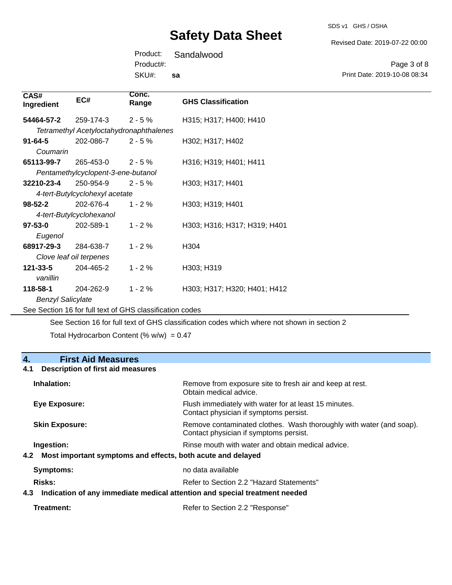SDS v1 GHS / OSHA

Revised Date: 2019-07-22 00:00

Page 3 of 8

Product: Sandalwood SKU#: Product#: **sa**

Print Date: 2019-10-08 08:34 **Conc. Range GHS Classification Ingredient EC#** 259-174-3 *Tetramethyl Acetyloctahydronaphthalenes* 54464-57-2 259-174-3 2 - 5 % H315; H317; H400; H410 202-086-7 **91-64-5** 202-086-7 2 - 5 % H302; H317; H402 265-453-0 *Pentamethylcyclopent-3-ene-butanol* **65113-99-7** 265-453-0 2 - 5 % H316; H319; H401; H411 250-954-9 *4-tert-Butylcyclohexyl acetate* **32210-23-4** 250-954-9 2 - 5 % H303; H317; H401 202-676-4 *4-tert-Butylcyclohexanol* **98-52-2** 202-676-4 1 - 2 % H303; H319; H401 202-589-1 **97-53-0** 202-589-1 1 - 2 % H303; H316; H317; H319; H401

| Eugenol                  |                         |            |                              |
|--------------------------|-------------------------|------------|------------------------------|
| 68917-29-3               | 284-638-7               | $1 - 2\%$  | H <sub>304</sub>             |
|                          | Clove leaf oil terpenes |            |                              |
| $121 - 33 - 5$           | 204-465-2               | $1 - 2\%$  | H303; H319                   |
| vanillin                 |                         |            |                              |
| 118-58-1                 | 204-262-9               | $1 - 2 \%$ | H303; H317; H320; H401; H412 |
| <b>Benzyl Salicylate</b> |                         |            |                              |

See Section 16 for full text of GHS classification codes

See Section 16 for full text of GHS classification codes which where not shown in section 2

Total Hydrocarbon Content (%  $w/w$ ) = 0.47

### **4. First Aid Measures**

**CAS#**

*Coumarin*

#### **4.1 Description of first aid measures**

| Inhalation:                                                     | Remove from exposure site to fresh air and keep at rest.<br>Obtain medical advice.                            |
|-----------------------------------------------------------------|---------------------------------------------------------------------------------------------------------------|
| Eye Exposure:                                                   | Flush immediately with water for at least 15 minutes.<br>Contact physician if symptoms persist.               |
| <b>Skin Exposure:</b>                                           | Remove contaminated clothes. Wash thoroughly with water (and soap).<br>Contact physician if symptoms persist. |
| Ingestion:                                                      | Rinse mouth with water and obtain medical advice.                                                             |
| 4.2 Most important symptoms and effects, both acute and delayed |                                                                                                               |
| Symptoms:                                                       | no data available                                                                                             |
| Risks:                                                          | Refer to Section 2.2 "Hazard Statements"                                                                      |
| 4.3                                                             | Indication of any immediate medical attention and special treatment needed                                    |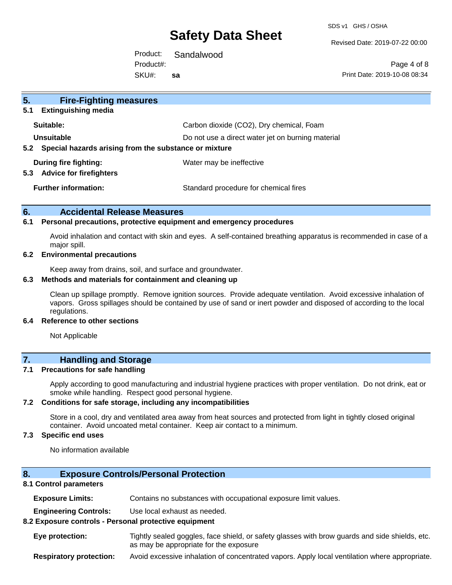SDS v1 GHS / OSHA

Revised Date: 2019-07-22 00:00

Product: Sandalwood SKU#: Product#: **sa**

Page 4 of 8 Print Date: 2019-10-08 08:34

| 5.<br><b>Fire-Fighting measures</b>                                    |                                                   |
|------------------------------------------------------------------------|---------------------------------------------------|
| <b>Extinguishing media</b><br>5.1                                      |                                                   |
| Suitable:                                                              | Carbon dioxide (CO2), Dry chemical, Foam          |
| Unsuitable                                                             | Do not use a direct water jet on burning material |
| Special hazards arising from the substance or mixture<br>$5.2^{\circ}$ |                                                   |
| During fire fighting:<br><b>Advice for firefighters</b><br>5.3         | Water may be ineffective                          |
| <b>Further information:</b>                                            | Standard procedure for chemical fires             |

#### **6. Accidental Release Measures**

#### **6.1 Personal precautions, protective equipment and emergency procedures**

Avoid inhalation and contact with skin and eyes. A self-contained breathing apparatus is recommended in case of a major spill.

#### **6.2 Environmental precautions**

Keep away from drains, soil, and surface and groundwater.

#### **6.3 Methods and materials for containment and cleaning up**

Clean up spillage promptly. Remove ignition sources. Provide adequate ventilation. Avoid excessive inhalation of vapors. Gross spillages should be contained by use of sand or inert powder and disposed of according to the local regulations.

#### **6.4 Reference to other sections**

Not Applicable

### **7. Handling and Storage**

#### **7.1 Precautions for safe handling**

Apply according to good manufacturing and industrial hygiene practices with proper ventilation. Do not drink, eat or smoke while handling. Respect good personal hygiene.

#### **7.2 Conditions for safe storage, including any incompatibilities**

Store in a cool, dry and ventilated area away from heat sources and protected from light in tightly closed original container. Avoid uncoated metal container. Keep air contact to a minimum.

#### **7.3 Specific end uses**

No information available

#### **8. Exposure Controls/Personal Protection**

#### **8.1 Control parameters**

**Exposure Limits:** Contains no substances with occupational exposure limit values.

**Engineering Controls:** Use local exhaust as needed.

#### **8.2 Exposure controls - Personal protective equipment**

**Eye protection:** Tightly sealed goggles, face shield, or safety glasses with brow guards and side shields, etc. as may be appropriate for the exposure

**Respiratory protection:** Avoid excessive inhalation of concentrated vapors. Apply local ventilation where appropriate.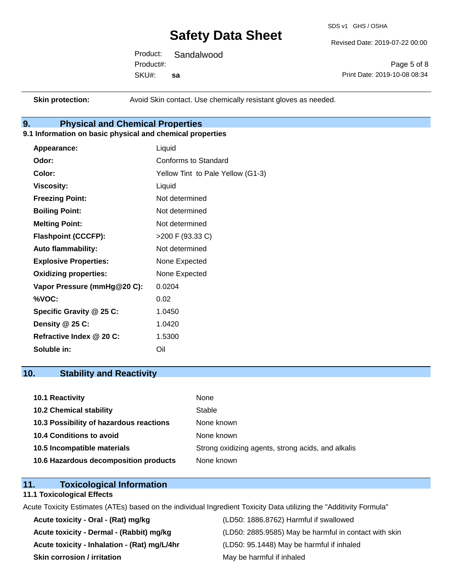SDS v1 GHS / OSHA

Revised Date: 2019-07-22 00:00

Product: Sandalwood SKU#: Product#: **sa**

Page 5 of 8 Print Date: 2019-10-08 08:34

**Skin protection:** Avoid Skin contact. Use chemically resistant gloves as needed.

## **9. Physical and Chemical Properties**

#### **9.1 Information on basic physical and chemical properties**

| Appearance:                  | Liquid                            |
|------------------------------|-----------------------------------|
| Odor:                        | <b>Conforms to Standard</b>       |
| Color:                       | Yellow Tint to Pale Yellow (G1-3) |
| <b>Viscosity:</b>            | Liquid                            |
| <b>Freezing Point:</b>       | Not determined                    |
| <b>Boiling Point:</b>        | Not determined                    |
| <b>Melting Point:</b>        | Not determined                    |
| <b>Flashpoint (CCCFP):</b>   | >200 F (93.33 C)                  |
| <b>Auto flammability:</b>    | Not determined                    |
| <b>Explosive Properties:</b> | None Expected                     |
| <b>Oxidizing properties:</b> | None Expected                     |
| Vapor Pressure (mmHg@20 C):  | 0.0204                            |
| %VOC:                        | 0.02                              |
| Specific Gravity @ 25 C:     | 1.0450                            |
| Density @ 25 C:              | 1.0420                            |
| Refractive Index @ 20 C:     | 1.5300                            |
| Soluble in:                  | Oil                               |

### **10. Stability and Reactivity**

| <b>10.1 Reactivity</b>                  | None                                               |
|-----------------------------------------|----------------------------------------------------|
| <b>10.2 Chemical stability</b>          | Stable                                             |
| 10.3 Possibility of hazardous reactions | None known                                         |
| <b>10.4 Conditions to avoid</b>         | None known                                         |
| 10.5 Incompatible materials             | Strong oxidizing agents, strong acids, and alkalis |
| 10.6 Hazardous decomposition products   | None known                                         |

### **11. Toxicological Information**

#### **11.1 Toxicological Effects**

Acute Toxicity Estimates (ATEs) based on the individual Ingredient Toxicity Data utilizing the "Additivity Formula"

**Acute toxicity - Oral - (Rat) mg/kg** (LD50: 1886.8762) Harmful if swallowed **Acute toxicity - Inhalation - (Rat) mg/L/4hr** (LD50: 95.1448) May be harmful if inhaled **Skin corrosion / irritation** May be harmful if inhaled

Acute toxicity - Dermal - (Rabbit) mg/kg<br>
(LD50: 2885.9585) May be harmful in contact with skin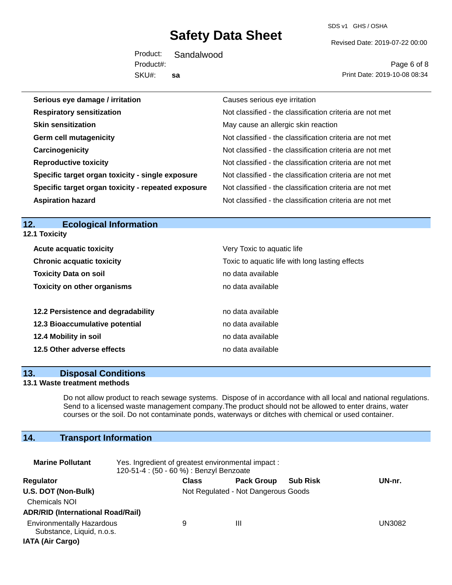SDS v1 GHS / OSHA

Revised Date: 2019-07-22 00:00

Product: Sandalwood SKU#: Product#: **sa**

Page 6 of 8 Print Date: 2019-10-08 08:34

| Serious eye damage / irritation                    | Causes serious eye irritation                            |  |
|----------------------------------------------------|----------------------------------------------------------|--|
| <b>Respiratory sensitization</b>                   | Not classified - the classification criteria are not met |  |
| <b>Skin sensitization</b>                          | May cause an allergic skin reaction                      |  |
| <b>Germ cell mutagenicity</b>                      | Not classified - the classification criteria are not met |  |
| Carcinogenicity                                    | Not classified - the classification criteria are not met |  |
| <b>Reproductive toxicity</b>                       | Not classified - the classification criteria are not met |  |
| Specific target organ toxicity - single exposure   | Not classified - the classification criteria are not met |  |
| Specific target organ toxicity - repeated exposure | Not classified - the classification criteria are not met |  |
| <b>Aspiration hazard</b>                           | Not classified - the classification criteria are not met |  |

#### **12. Ecological Information 12.1 Toxicity**

| <b>Acute acquatic toxicity</b>     | Very Toxic to aquatic life                      |
|------------------------------------|-------------------------------------------------|
| <b>Chronic acquatic toxicity</b>   | Toxic to aquatic life with long lasting effects |
| <b>Toxicity Data on soil</b>       | no data available                               |
| <b>Toxicity on other organisms</b> | no data available                               |
|                                    |                                                 |
| 12.2 Persistence and degradability | no data available                               |
| 12.3 Bioaccumulative potential     | no data available                               |
| 12.4 Mobility in soil              | no data available                               |
| 12.5 Other adverse effects         | no data available                               |

#### **13. Disposal Conditions**

#### **13.1 Waste treatment methods**

Do not allow product to reach sewage systems. Dispose of in accordance with all local and national regulations. Send to a licensed waste management company.The product should not be allowed to enter drains, water courses or the soil. Do not contaminate ponds, waterways or ditches with chemical or used container.

## **14. Transport Information**

| <b>Marine Pollutant</b>                                                                  | Yes. Ingredient of greatest environmental impact:<br>120-51-4 : (50 - 60 %) : Benzyl Benzoate |                                     |                   |                 |        |  |
|------------------------------------------------------------------------------------------|-----------------------------------------------------------------------------------------------|-------------------------------------|-------------------|-----------------|--------|--|
| <b>Regulator</b>                                                                         |                                                                                               | <b>Class</b>                        | <b>Pack Group</b> | <b>Sub Risk</b> | UN-nr. |  |
| U.S. DOT (Non-Bulk)<br><b>Chemicals NOI</b><br><b>ADR/RID (International Road/Rail)</b>  |                                                                                               | Not Regulated - Not Dangerous Goods |                   |                 |        |  |
| <b>Environmentally Hazardous</b><br>Substance, Liquid, n.o.s.<br><b>IATA (Air Cargo)</b> |                                                                                               | 9                                   | Ш                 |                 | UN3082 |  |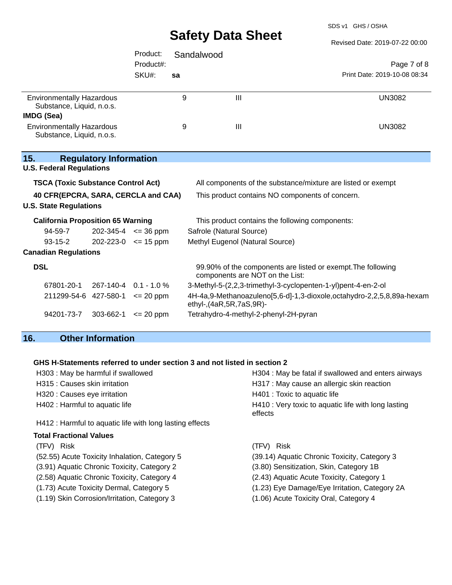SDS v1 GHS / OSHA

|                                                               |                               |               |            | <b>UAIGLY DAIA UIIGGL</b>             | Revised Date: 2019-07-22 00:00                                        |
|---------------------------------------------------------------|-------------------------------|---------------|------------|---------------------------------------|-----------------------------------------------------------------------|
|                                                               |                               | Product:      | Sandalwood |                                       |                                                                       |
|                                                               |                               | Product#:     |            |                                       | Page 7 of 8                                                           |
|                                                               |                               | SKU#:         | sa         |                                       | Print Date: 2019-10-08 08:34                                          |
| <b>Environmentally Hazardous</b><br>Substance, Liquid, n.o.s. |                               |               | 9          | $\mathbf{III}$                        | <b>UN3082</b>                                                         |
| IMDG (Sea)                                                    |                               |               |            |                                       |                                                                       |
| <b>Environmentally Hazardous</b><br>Substance, Liquid, n.o.s. |                               |               | 9          | $\mathbf{III}$                        | <b>UN3082</b>                                                         |
| 15.                                                           | <b>Regulatory Information</b> |               |            |                                       |                                                                       |
| <b>U.S. Federal Regulations</b>                               |                               |               |            |                                       |                                                                       |
| <b>TSCA (Toxic Substance Control Act)</b>                     |                               |               |            |                                       | All components of the substance/mixture are listed or exempt          |
| 40 CFR(EPCRA, SARA, CERCLA and CAA)                           |                               |               |            |                                       | This product contains NO components of concern.                       |
| <b>U.S. State Regulations</b>                                 |                               |               |            |                                       |                                                                       |
| <b>California Proposition 65 Warning</b>                      |                               |               |            |                                       | This product contains the following components:                       |
| 94-59-7                                                       | $202 - 345 - 4 \leq 36$ ppm   |               |            | Safrole (Natural Source)              |                                                                       |
| $93 - 15 - 2$                                                 | $202 - 223 - 0 \leq 15$ ppm   |               |            | Methyl Eugenol (Natural Source)       |                                                                       |
| <b>Canadian Regulations</b>                                   |                               |               |            |                                       |                                                                       |
| <b>DSL</b>                                                    |                               |               |            | components are NOT on the List:       | 99.90% of the components are listed or exempt. The following          |
| 67801-20-1                                                    | 267-140-4 0.1 - 1.0 %         |               |            |                                       | 3-Methyl-5-(2,2,3-trimethyl-3-cyclopenten-1-yl)pent-4-en-2-ol         |
| 211299-54-6 427-580-1                                         |                               | $\leq$ 20 ppm |            | ethyl-, (4aR, 5R, 7aS, 9R)-           | 4H-4a,9-Methanoazuleno[5,6-d]-1,3-dioxole,octahydro-2,2,5,8,89a-hexam |
| 94201-73-7                                                    | 303-662-1                     | $\leq$ 20 ppm |            | Tetrahydro-4-methyl-2-phenyl-2H-pyran |                                                                       |
|                                                               |                               |               |            |                                       |                                                                       |

## **16. Other Information**

#### **GHS H-Statements referred to under section 3 and not listed in section 2**

| H303 : May be harmful if swallowed                       | H304 : May be fatal if swallowed and enters airways            |
|----------------------------------------------------------|----------------------------------------------------------------|
| H315 : Causes skin irritation                            | H317 : May cause an allergic skin reaction                     |
| H320 : Causes eye irritation                             | H401 : Toxic to aquatic life                                   |
| H402 : Harmful to aquatic life                           | H410 : Very toxic to aquatic life with long lasting<br>effects |
| H412 : Harmful to aquatic life with long lasting effects |                                                                |
| <b>Total Fractional Values</b>                           |                                                                |
| (TFV) Risk                                               | <b>Risk</b><br>(TFV)                                           |
| (52.55) Acute Toxicity Inhalation, Category 5            | (39.14) Aquatic Chronic Toxicity, Category 3                   |
| (3.91) Aquatic Chronic Toxicity, Category 2              | (3.80) Sensitization, Skin, Category 1B                        |
| (2.58) Aquatic Chronic Toxicity, Category 4              | (2.43) Aquatic Acute Toxicity, Category 1                      |
|                                                          |                                                                |

- (1.73) Acute Toxicity Dermal, Category 5 (1.23) Eye Damage/Eye Irritation, Category 2A
- (1.19) Skin Corrosion/Irritation, Category 3 (1.06) Acute Toxicity Oral, Category 4
- -